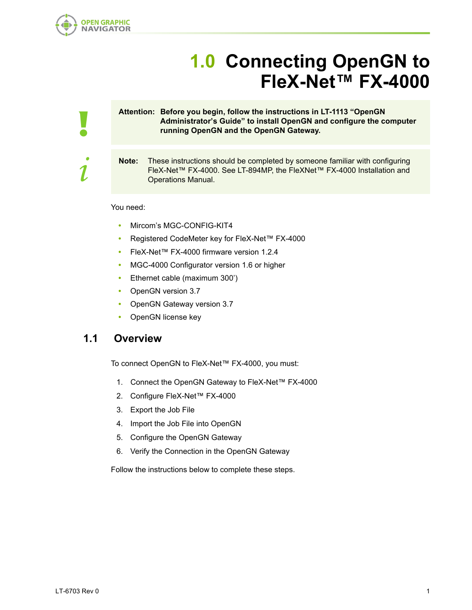

!

i

# **1.0 Connecting OpenGN to FleX-Net™ FX-4000**

#### **Attention: Before you begin, follow the instructions in LT-1113 "OpenGN Administrator's Guide" to install OpenGN and configure the computer running OpenGN and the OpenGN Gateway.**

**Note:** These instructions should be completed by someone familiar with configuring FleX-Net™ FX-4000. See LT-894MP, the FleXNet™ FX-4000 Installation and Operations Manual.

You need:

- **•** Mircom's MGC-CONFIG-KIT4
- **•** Registered CodeMeter key for FleX-Net™ FX-4000
- **•** FleX-Net™ FX-4000 firmware version 1.2.4
- **•** MGC-4000 Configurator version 1.6 or higher
- **•** Ethernet cable (maximum 300')
- **•** OpenGN version 3.7
- **•** OpenGN Gateway version 3.7
- **•** OpenGN license key

#### **1.1 Overview**

To connect OpenGN to FleX-Net™ FX-4000, you must:

- 1. Connect the OpenGN Gateway to FleX-Net™ FX-4000
- 2. Configure FleX-Net™ FX-4000
- 3. Export the Job File
- 4. Import the Job File into OpenGN
- 5. Configure the OpenGN Gateway
- 6. Verify the Connection in the OpenGN Gateway

Follow the instructions below to complete these steps.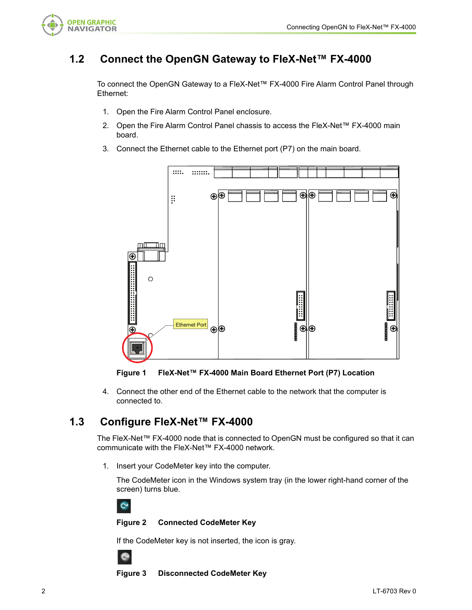

## **1.2 Connect the OpenGN Gateway to FleX-Net™ FX-4000**

To connect the OpenGN Gateway to a FleX-Net™ FX-4000 Fire Alarm Control Panel through Ethernet:

- 1. Open the Fire Alarm Control Panel enclosure.
- 2. Open the Fire Alarm Control Panel chassis to access the FleX-Net™ FX-4000 main board.
- 3. Connect the Ethernet cable to the Ethernet port (P7) on the main board.



**Figure 1 FleX-Net™ FX-4000 Main Board Ethernet Port (P7) Location**

4. Connect the other end of the Ethernet cable to the network that the computer is connected to.

## **1.3 Configure FleX-Net™ FX-4000**

The FleX-Net™ FX-4000 node that is connected to OpenGN must be configured so that it can communicate with the FleX-Net™ FX-4000 network.

1. Insert your CodeMeter key into the computer.

The CodeMeter icon in the Windows system tray (in the lower right-hand corner of the screen) turns blue.



#### **Figure 2 Connected CodeMeter Key**

If the CodeMeter key is not inserted, the icon is gray.



**Figure 3 Disconnected CodeMeter Key**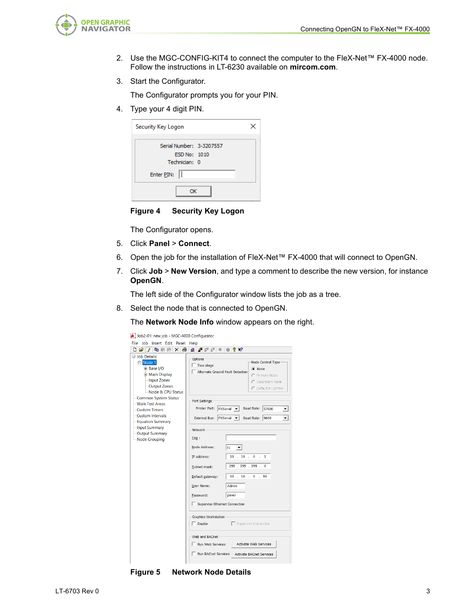

- 2. Use the MGC-CONFIG-KIT4 to connect the computer to the FleX-Net™ FX-4000 node. Follow the instructions in LT-6230 available on **mircom.com**.
- 3. Start the Configurator.

The Configurator prompts you for your PIN.

4. Type your 4 digit PIN.

| Security Key Logon                                        |  |
|-----------------------------------------------------------|--|
| Serial Number: 3-3207557<br>ESD No: 1010<br>Technician: 0 |  |
| Enter PIN:                                                |  |
| ΩК                                                        |  |

**Figure 4 Security Key Logon**

The Configurator opens.

- 5. Click **Panel** > **Connect**.
- 6. Open the job for the installation of FleX-Net™ FX-4000 that will connect to OpenGN.
- 7. Click **Job** > **New Version**, and type a comment to describe the new version, for instance **OpenGN**.

The left side of the Configurator window lists the job as a tree.

8. Select the node that is connected to OpenGN.

The **Network Node Info** window appears on the right.

| Job2-01: new job - MGC-4000 Configurator                                                                                                                                                                                                                                                      |                                                                                                                                                                                                                                                                                                                                                                                                                                                                                                                                                                                                                                                          |
|-----------------------------------------------------------------------------------------------------------------------------------------------------------------------------------------------------------------------------------------------------------------------------------------------|----------------------------------------------------------------------------------------------------------------------------------------------------------------------------------------------------------------------------------------------------------------------------------------------------------------------------------------------------------------------------------------------------------------------------------------------------------------------------------------------------------------------------------------------------------------------------------------------------------------------------------------------------------|
| File Job Insert Edit Panel                                                                                                                                                                                                                                                                    | Help                                                                                                                                                                                                                                                                                                                                                                                                                                                                                                                                                                                                                                                     |
| 电启启 X 马<br>D G I<br>$\mathbf{z}$                                                                                                                                                                                                                                                              | 風 に 炉 炉 目<br>የ የ                                                                                                                                                                                                                                                                                                                                                                                                                                                                                                                                                                                                                                         |
| 日 Job Details<br>Node 1<br>F-Base I/O<br><b>E</b> -Main Display<br>-Input Zones<br>-Output Zones<br>-Node & CPU Status<br><b>Common System Status</b><br>- Walk Test Areas<br>-Custom Timers<br>-Custom Intervals<br>-Equation Summary<br>-Input Summary<br>-Output Summary<br>-Node Grouping | Options-<br>Node Control Type<br>$\Box$ Two stage<br>C None<br>Alternate Ground Fault Detection<br>C Primary Node<br>C Secondary Node<br>C Default in Control<br>Port Settings<br><b>Printer Port:</b><br><b>Baud Rate:</b><br><b>FXSerial</b> $\blacktriangledown$<br>57600<br>▼<br><b>FXSerial</b><br>Baud Rate: 9600<br><b>External Bus:</b><br>Network-<br>Tag:<br>Node Address:<br>01<br>$10$ $10$ $0$ $0$ $10$<br>IP address:<br>1<br>255 . 255 . 255 .<br>$\bf{0}$<br>Subnet mask:<br>10<br>.10.0<br>. 99<br>Default gateway:<br><b>User Name:</b><br>Admin<br>Password:<br>panel<br>Supervise Ethernet Connection<br><b>Graphics Workstation</b> |
|                                                                                                                                                                                                                                                                                               | $\Box$ Enable<br>Supervise Connection                                                                                                                                                                                                                                                                                                                                                                                                                                                                                                                                                                                                                    |
|                                                                                                                                                                                                                                                                                               | Web and BACnet-                                                                                                                                                                                                                                                                                                                                                                                                                                                                                                                                                                                                                                          |
|                                                                                                                                                                                                                                                                                               | Run Web Services<br><b>Activate Web Services</b>                                                                                                                                                                                                                                                                                                                                                                                                                                                                                                                                                                                                         |
|                                                                                                                                                                                                                                                                                               | <b>Run BACnet Services</b><br><b>Activate BACnet Services</b>                                                                                                                                                                                                                                                                                                                                                                                                                                                                                                                                                                                            |
|                                                                                                                                                                                                                                                                                               |                                                                                                                                                                                                                                                                                                                                                                                                                                                                                                                                                                                                                                                          |

**Figure 5 Network Node Details**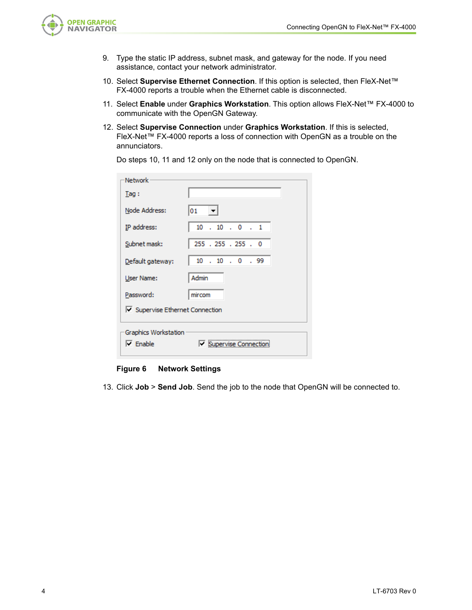

- 9. Type the static IP address, subnet mask, and gateway for the node. If you need assistance, contact your network administrator.
- 10. Select **Supervise Ethernet Connection**. If this option is selected, then FleX-Net™ FX-4000 reports a trouble when the Ethernet cable is disconnected.
- 11. Select **Enable** under **Graphics Workstation**. This option allows FleX-Net™ FX-4000 to communicate with the OpenGN Gateway.
- 12. Select **Supervise Connection** under **Graphics Workstation**. If this is selected, FleX-Net™ FX-4000 reports a loss of connection with OpenGN as a trouble on the annunciators.

| Do steps 10, 11 and 12 only on the node that is connected to OpenGN. |  |  |  |  |  |
|----------------------------------------------------------------------|--|--|--|--|--|
|----------------------------------------------------------------------|--|--|--|--|--|

| <b>Network</b>                                   |                          |  |  |  |  |
|--------------------------------------------------|--------------------------|--|--|--|--|
| Taq:                                             |                          |  |  |  |  |
| Node Address:                                    | 01                       |  |  |  |  |
| IP address:                                      | $10$ . $10$ . $0$ . $1$  |  |  |  |  |
| Subnet mask:                                     | 255 . 255 . 255 . 0      |  |  |  |  |
| Default gateway:                                 | $10$ , $10$ , $0$ , $99$ |  |  |  |  |
| User Name:                                       | Admin                    |  |  |  |  |
| Password:                                        | mircom                   |  |  |  |  |
| □ Supervise Ethernet Connection                  |                          |  |  |  |  |
| Graphics Workstation                             |                          |  |  |  |  |
| <b>Ⅳ</b> Supervise Connection<br>$\nabla$ Enable |                          |  |  |  |  |

#### **Figure 6 Network Settings**

13. Click **Job** > **Send Job**. Send the job to the node that OpenGN will be connected to.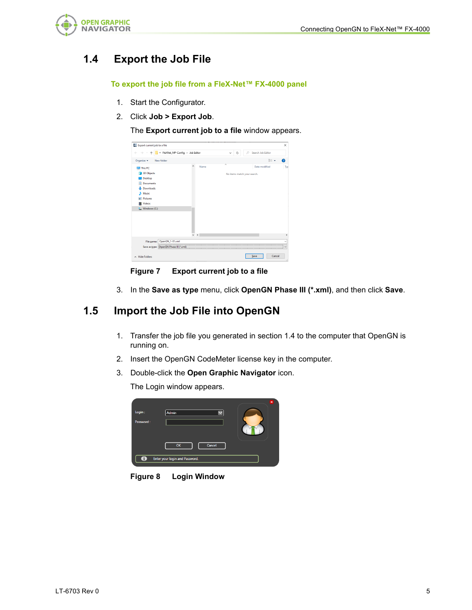

# **1.4 Export the Job File**

**To export the job file from a FleX-Net™ FX-4000 panel**

- 1. Start the Configurator.
- 2. Click **Job > Export Job**.

The **Export current job to a file** window appears.



**Figure 7 Export current job to a file**

3. In the **Save as type** menu, click **OpenGN Phase III (\*.xml)**, and then click **Save**.

### **1.5 Import the Job File into OpenGN**

- 1. Transfer the job file you generated in section 1.4 to the computer that OpenGN is running on.
- 2. Insert the OpenGN CodeMeter license key in the computer.
- 3. Double-click the **Open Graphic Navigator** icon.

The Login window appears.

| Login:    | Admin                          | × |
|-----------|--------------------------------|---|
| Password: |                                |   |
|           | Cancel<br>OK                   |   |
| 0         | Enter your login and Password. |   |

**Figure 8 Login Window**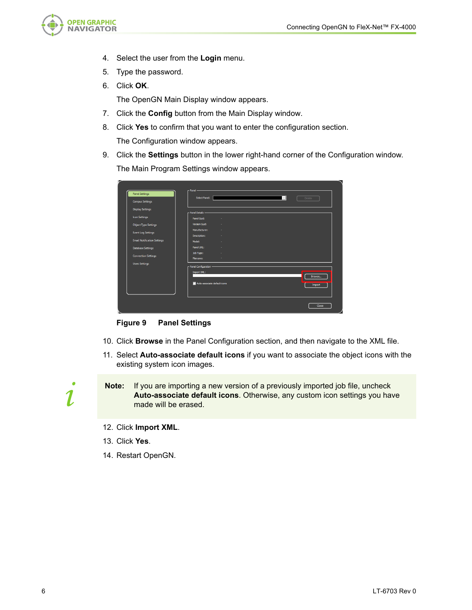

- 4. Select the user from the **Login** menu.
- 5. Type the password.
- 6. Click **OK**.

The OpenGN Main Display window appears.

- 7. Click the **Config** button from the Main Display window.
- 8. Click **Yes** to confirm that you want to enter the configuration section. The Configuration window appears.
- 9. Click the **Settings** button in the lower right-hand corner of the Configuration window. The Main Program Settings window appears.

| <b>Panel Settings</b>              | Select Panel:                          | $\vert \cdot \vert$<br><b>Delete</b> |
|------------------------------------|----------------------------------------|--------------------------------------|
| <b>Campus Settings</b>             |                                        |                                      |
| <b>Display Settings</b>            | - Panel Details -                      |                                      |
| <b>Icon Settings</b>               | Panel Guid:<br>٠                       |                                      |
| <b>Object Type Settings</b>        | Version Guid:<br>٠                     |                                      |
| <b>Event Log Settings</b>          | Manufacturer:<br>٠                     |                                      |
|                                    | Description:                           |                                      |
| <b>Email Notification Settings</b> | Model:                                 |                                      |
| <b>Database Settings</b>           | Panel URL:                             |                                      |
| <b>Connection Settings</b>         | Job Type:<br>٠                         |                                      |
| <b>Users Settings</b>              | Filename:                              |                                      |
|                                    | - Panel Configuration -<br>Import XML: |                                      |
|                                    |                                        | Browse                               |
|                                    | Auto-associate default icons           | Import                               |
|                                    |                                        |                                      |
|                                    |                                        |                                      |

**Figure 9 Panel Settings**

- 10. Click **Browse** in the Panel Configuration section, and then navigate to the XML file.
- 11. Select **Auto-associate default icons** if you want to associate the object icons with the existing system icon images.

**Note:** If you are importing a new version of a previously imported job file, uncheck **Auto-associate default icons**. Otherwise, any custom icon settings you have made will be erased.

- 12. Click **Import XML**.
- 13. Click **Yes**.
- 14. Restart OpenGN.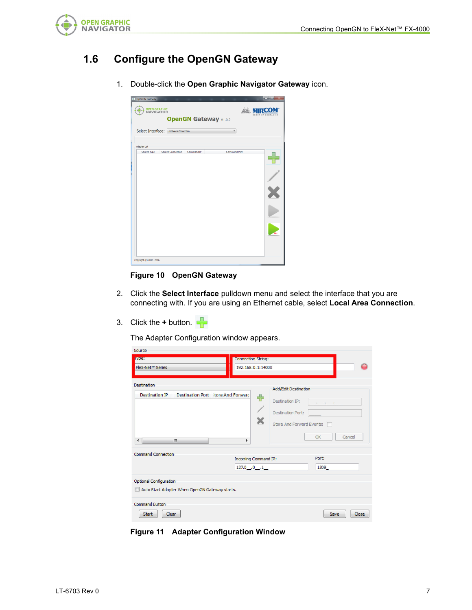

# **1.6 Configure the OpenGN Gateway**

1. Double-click the **Open Graphic Navigator Gateway** icon.

| <b>OPEN GRAPHIC<br/>NAVIGATOR</b><br><b>OpenGN Gateway V1.0.2</b><br>Select Interface: Local Area Connection | <b>Millia</b> MIRC |
|--------------------------------------------------------------------------------------------------------------|--------------------|
|                                                                                                              |                    |
|                                                                                                              |                    |
| Adapter List                                                                                                 |                    |
| Source Type<br>Source Connection Command IP<br><b>Command Port</b>                                           |                    |
|                                                                                                              | ALL                |

#### **Figure 10 OpenGN Gateway**

- 2. Click the **Select Interface** pulldown menu and select the interface that you are connecting with. If you are using an Ethernet cable, select **Local Area Connection**.
- 3. Click the  $+$  button.  $\Box$

The Adapter Configuration window appears.

| Source                                                                          |                                                  |               |
|---------------------------------------------------------------------------------|--------------------------------------------------|---------------|
| <b>LYCEN</b>                                                                    | <b>Connection String:</b>                        |               |
| FleX-Net™ Series                                                                | 192.168.0.1:14000                                |               |
| Destination<br>Destination Port Hore And Forward<br>Destination IP              | Add/Edit Destination                             |               |
|                                                                                 | ♣<br>Destination IP:<br><b>Destination Port:</b> |               |
|                                                                                 | Store And Forward Events:                        |               |
| $\blacktriangleleft$<br>m.                                                      | k                                                | Cancel<br>OK  |
| <b>Command Connection</b>                                                       | Incoming Command IP:                             | Port:         |
|                                                                                 | 127.0 .0 .1                                      | 1309          |
| <b>Optional Configuration</b><br>Auto Start Adapter When OpenGN Gateway starts. |                                                  |               |
| <b>Command Button</b>                                                           |                                                  |               |
| Clear<br><b>Start</b>                                                           |                                                  | Close<br>Save |

**Figure 11 Adapter Configuration Window**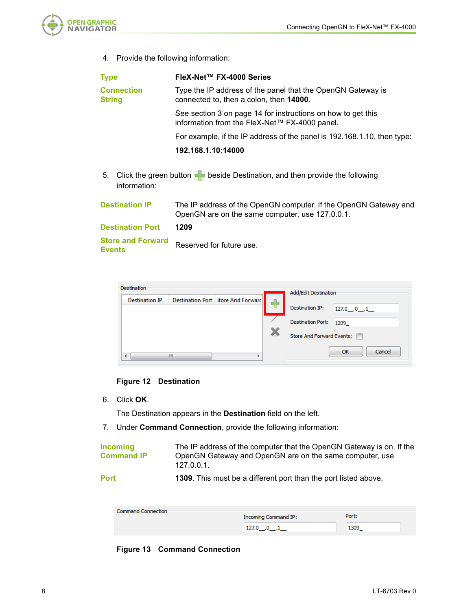

4. Provide the following information:

| <b>Type</b>                               | FleX-Net™ FX-4000 Series                                                                                            |  |
|-------------------------------------------|---------------------------------------------------------------------------------------------------------------------|--|
| <b>Connection</b><br><b>String</b>        | Type the IP address of the panel that the OpenGN Gateway is<br>connected to, then a colon, then 14000.              |  |
|                                           | See section 3 on page 14 for instructions on how to get this<br>information from the FleX-Net™ FX-4000 panel.       |  |
|                                           | For example, if the IP address of the panel is 192.168.1.10, then type:                                             |  |
|                                           | 192.168.1.10:14000                                                                                                  |  |
| 5.<br>information:                        | Click the green button $\blacktriangleleft$ beside Destination, and then provide the following                      |  |
| <b>Destination IP</b>                     | The IP address of the OpenGN computer. If the OpenGN Gateway and<br>OpenGN are on the same computer, use 127.0.0.1. |  |
| <b>Destination Port</b>                   | 1209                                                                                                                |  |
| <b>Store and Forward</b><br><b>Events</b> | Reserved for future use.                                                                                            |  |

| Destination           |   |                                    | Add/Edit Destination      |                 |
|-----------------------|---|------------------------------------|---------------------------|-----------------|
| <b>Destination IP</b> |   | Destination Port Store And Forward |                           |                 |
|                       |   |                                    | Destination IP:           | $127.0$ $0$ $1$ |
|                       |   |                                    | <b>Destination Port:</b>  | 1209            |
|                       |   |                                    | Store And Forward Events: |                 |
| ∢                     | ш |                                    |                           | Cancel<br>OK    |

#### **Figure 12 Destination**

6. Click **OK**.

The Destination appears in the **Destination** field on the left.

7. Under **Command Connection**, provide the following information:

| <b>Incoming</b>   | The IP address of the computer that the OpenGN Gateway is on. If the     |
|-------------------|--------------------------------------------------------------------------|
| <b>Command IP</b> | OpenGN Gateway and OpenGN are on the same computer, use<br>$127.0.0.1$ . |
| <b>Port</b>       | <b>1309</b> . This must be a different port than the port listed above.  |

| Command Connection |                      |       |  |
|--------------------|----------------------|-------|--|
|                    | Incoming Command IP: | Port: |  |
|                    | $127.0$ $0$ $1$      | 1309  |  |

#### **Figure 13 Command Connection**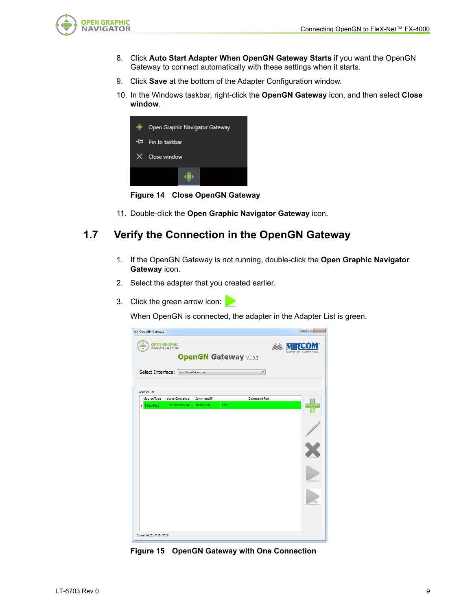

- 8. Click **Auto Start Adapter When OpenGN Gateway Starts** if you want the OpenGN Gateway to connect automatically with these settings when it starts.
- 9. Click **Save** at the bottom of the Adapter Configuration window.
- 10. In the Windows taskbar, right-click the **OpenGN Gateway** icon, and then select **Close window**.



**Figure 14 Close OpenGN Gateway**

11. Double-click the **Open Graphic Navigator Gateway** icon.

### **1.7 Verify the Connection in the OpenGN Gateway**

- 1. If the OpenGN Gateway is not running, double-click the **Open Graphic Navigator Gateway** icon.
- 2. Select the adapter that you created earlier.
- 3. Click the green arrow icon:

When OpenGN is connected, the adapter in the Adapter List is green.



**Figure 15 OpenGN Gateway with One Connection**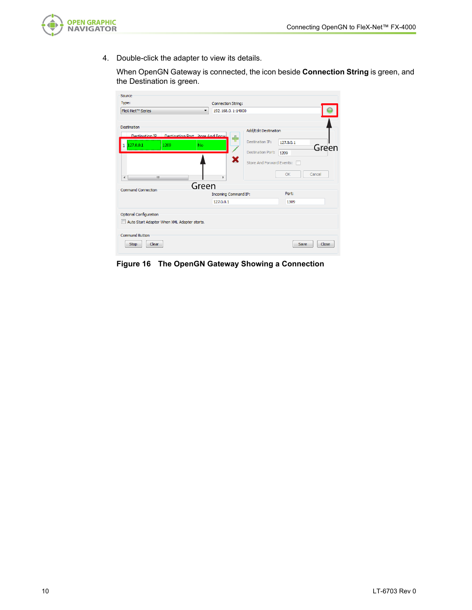

4. Double-click the adapter to view its details.

When OpenGN Gateway is connected, the icon beside **Connection String** is green, and the Destination is green.

| Source                                                                      |                                                     |  |  |
|-----------------------------------------------------------------------------|-----------------------------------------------------|--|--|
| Type:                                                                       | Connection String:                                  |  |  |
| FleX-Net™ Series<br>$\blacksquare$                                          | 192.168.0.1:14000                                   |  |  |
| Destination<br><b>Dectination IP Dectination Port</b> <i>Anne And Forwa</i> | Add/Edit Destination                                |  |  |
| 127.0.0.1<br>1209<br>No<br>1                                                | ╇<br>Destination IP:<br>127.0.0.1<br>Green          |  |  |
|                                                                             | <b>Destination Port:</b><br>1209                    |  |  |
| ł<br>m.                                                                     | ×<br>Store And Forward Events:<br>Cancel<br>OK<br>k |  |  |
| Green<br><b>Command Connection</b>                                          |                                                     |  |  |
|                                                                             | Port:<br><b>Incoming Command IP:</b>                |  |  |
|                                                                             | 127.0.0.1<br>1309                                   |  |  |
| Optional Configuration<br>Auto Start Adapter When XML Adapter starts.       |                                                     |  |  |
| Command Button<br><b>Clear</b><br>Stop                                      | Close<br>Save                                       |  |  |

**Figure 16 The OpenGN Gateway Showing a Connection**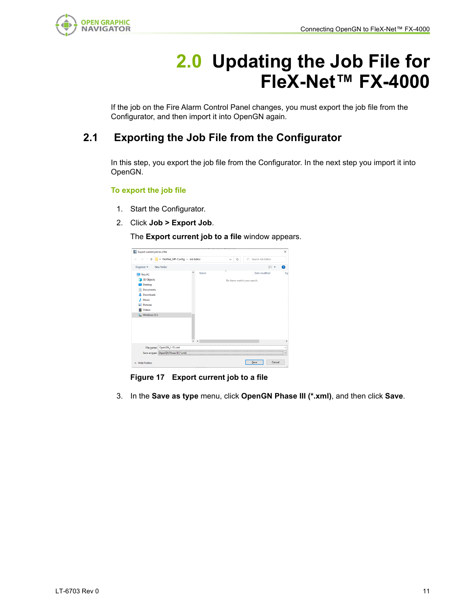

# **2.0 Updating the Job File for FleX-Net™ FX-4000**

If the job on the Fire Alarm Control Panel changes, you must export the job file from the Configurator, and then import it into OpenGN again.

# **2.1 Exporting the Job File from the Configurator**

In this step, you export the job file from the Configurator. In the next step you import it into OpenGN.

#### **To export the job file**

- 1. Start the Configurator.
- 2. Click **Job > Export Job**.

The **Export current job to a file** window appears.



**Figure 17 Export current job to a file**

3. In the **Save as type** menu, click **OpenGN Phase III (\*.xml)**, and then click **Save**.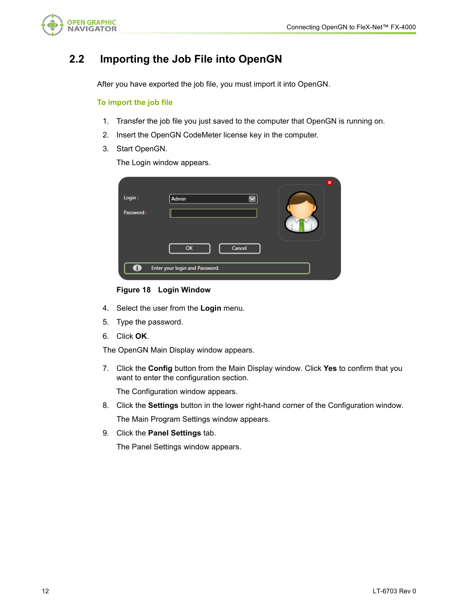

## **2.2 Importing the Job File into OpenGN**

After you have exported the job file, you must import it into OpenGN.

#### **To import the job file**

- 1. Transfer the job file you just saved to the computer that OpenGN is running on.
- 2. Insert the OpenGN CodeMeter license key in the computer.
- 3. Start OpenGN.

The Login window appears.

| Login:            | $\boldsymbol{\mathsf{x}}$<br><b>Admin</b> |
|-------------------|-------------------------------------------|
| Password:         |                                           |
|                   | OK<br>Cancel                              |
| $\cdot$ i $\cdot$ | Enter your login and Password.            |

**Figure 18 Login Window**

- 4. Select the user from the **Login** menu.
- 5. Type the password.
- 6. Click **OK**.

The OpenGN Main Display window appears.

7. Click the **Config** button from the Main Display window. Click **Yes** to confirm that you want to enter the configuration section.

The Configuration window appears.

- 8. Click the **Settings** button in the lower right-hand corner of the Configuration window. The Main Program Settings window appears.
- 9. Click the **Panel Settings** tab.

The Panel Settings window appears.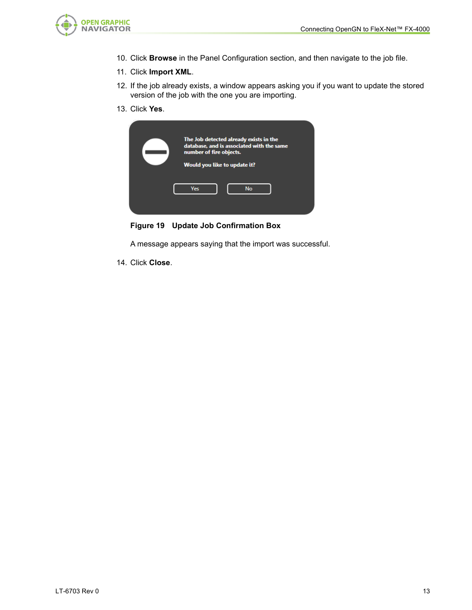

- 10. Click **Browse** in the Panel Configuration section, and then navigate to the job file.
- 11. Click **Import XML**.
- 12. If the job already exists, a window appears asking you if you want to update the stored version of the job with the one you are importing.
- 13. Click **Yes**.

| The Job detected already exists in the<br>database, and is associated with the same<br>number of fire objects.<br>Would you like to update it? |           |  |
|------------------------------------------------------------------------------------------------------------------------------------------------|-----------|--|
| <b>Yes</b>                                                                                                                                     | <b>No</b> |  |

**Figure 19 Update Job Confirmation Box**

A message appears saying that the import was successful.

14. Click **Close**.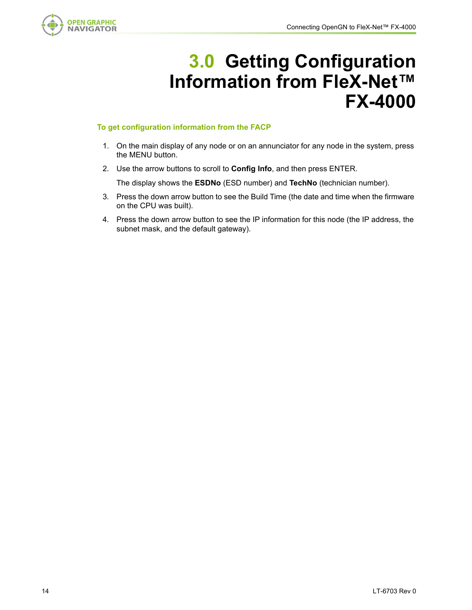

# **3.0 Getting Configuration Information from FleX-Net™ FX-4000**

#### **To get configuration information from the FACP**

- 1. On the main display of any node or on an annunciator for any node in the system, press the MENU button.
- 2. Use the arrow buttons to scroll to **Config Info**, and then press ENTER.

The display shows the **ESDNo** (ESD number) and **TechNo** (technician number).

- 3. Press the down arrow button to see the Build Time (the date and time when the firmware on the CPU was built).
- 4. Press the down arrow button to see the IP information for this node (the IP address, the subnet mask, and the default gateway).